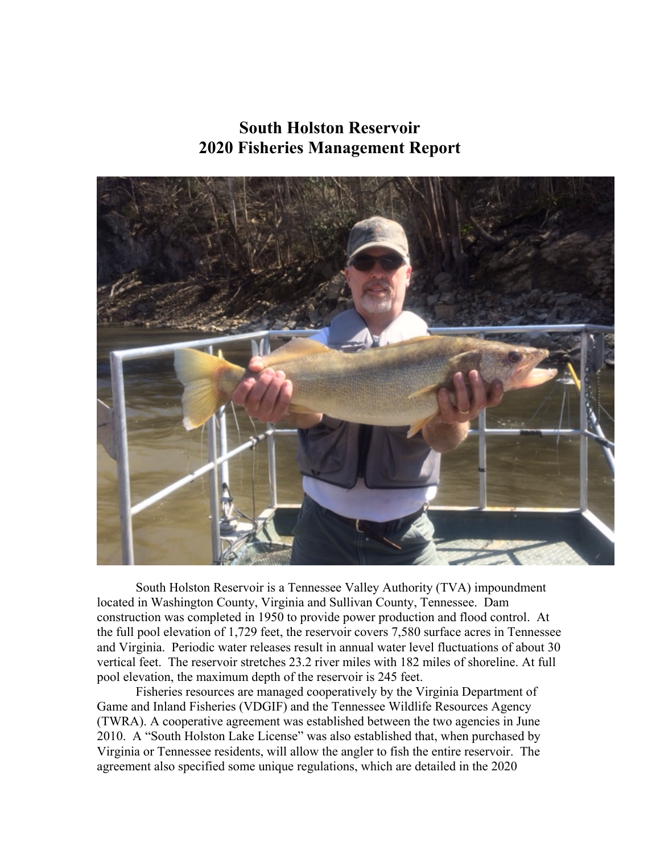# **South Holston Reservoir 2020 Fisheries Management Report**



South Holston Reservoir is a Tennessee Valley Authority (TVA) impoundment located in Washington County, Virginia and Sullivan County, Tennessee. Dam construction was completed in 1950 to provide power production and flood control. At the full pool elevation of 1,729 feet, the reservoir covers 7,580 surface acres in Tennessee and Virginia. Periodic water releases result in annual water level fluctuations of about 30 vertical feet. The reservoir stretches 23.2 river miles with 182 miles of shoreline. At full pool elevation, the maximum depth of the reservoir is 245 feet.

Fisheries resources are managed cooperatively by the Virginia Department of Game and Inland Fisheries (VDGIF) and the Tennessee Wildlife Resources Agency (TWRA). A cooperative agreement was established between the two agencies in June 2010. A "South Holston Lake License" was also established that, when purchased by Virginia or Tennessee residents, will allow the angler to fish the entire reservoir. The agreement also specified some unique regulations, which are detailed in the 2020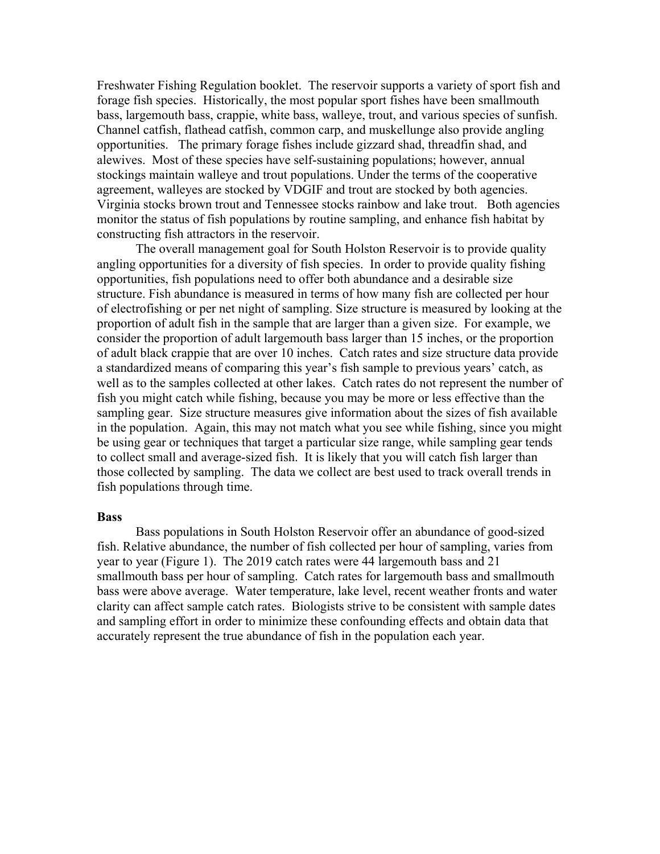Freshwater Fishing Regulation booklet. The reservoir supports a variety of sport fish and forage fish species. Historically, the most popular sport fishes have been smallmouth bass, largemouth bass, crappie, white bass, walleye, trout, and various species of sunfish. Channel catfish, flathead catfish, common carp, and muskellunge also provide angling opportunities. The primary forage fishes include gizzard shad, threadfin shad, and alewives. Most of these species have self-sustaining populations; however, annual stockings maintain walleye and trout populations. Under the terms of the cooperative agreement, walleyes are stocked by VDGIF and trout are stocked by both agencies. Virginia stocks brown trout and Tennessee stocks rainbow and lake trout. Both agencies monitor the status of fish populations by routine sampling, and enhance fish habitat by constructing fish attractors in the reservoir.

The overall management goal for South Holston Reservoir is to provide quality angling opportunities for a diversity of fish species. In order to provide quality fishing opportunities, fish populations need to offer both abundance and a desirable size structure. Fish abundance is measured in terms of how many fish are collected per hour of electrofishing or per net night of sampling. Size structure is measured by looking at the proportion of adult fish in the sample that are larger than a given size. For example, we consider the proportion of adult largemouth bass larger than 15 inches, or the proportion of adult black crappie that are over 10 inches. Catch rates and size structure data provide a standardized means of comparing this year's fish sample to previous years' catch, as well as to the samples collected at other lakes. Catch rates do not represent the number of fish you might catch while fishing, because you may be more or less effective than the sampling gear. Size structure measures give information about the sizes of fish available in the population. Again, this may not match what you see while fishing, since you might be using gear or techniques that target a particular size range, while sampling gear tends to collect small and average-sized fish. It is likely that you will catch fish larger than those collected by sampling. The data we collect are best used to track overall trends in fish populations through time.

#### **Bass**

Bass populations in South Holston Reservoir offer an abundance of good-sized fish. Relative abundance, the number of fish collected per hour of sampling, varies from year to year (Figure 1). The 2019 catch rates were 44 largemouth bass and 21 smallmouth bass per hour of sampling. Catch rates for largemouth bass and smallmouth bass were above average. Water temperature, lake level, recent weather fronts and water clarity can affect sample catch rates. Biologists strive to be consistent with sample dates and sampling effort in order to minimize these confounding effects and obtain data that accurately represent the true abundance of fish in the population each year.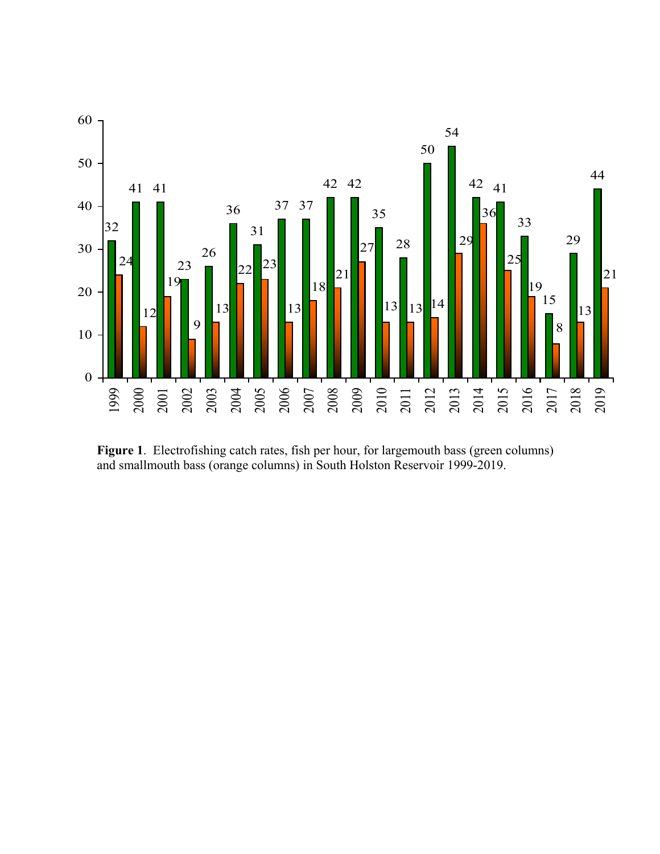

**Figure 1**. Electrofishing catch rates, fish per hour, for largemouth bass (green columns) and smallmouth bass (orange columns) in South Holston Reservoir 1999-2019.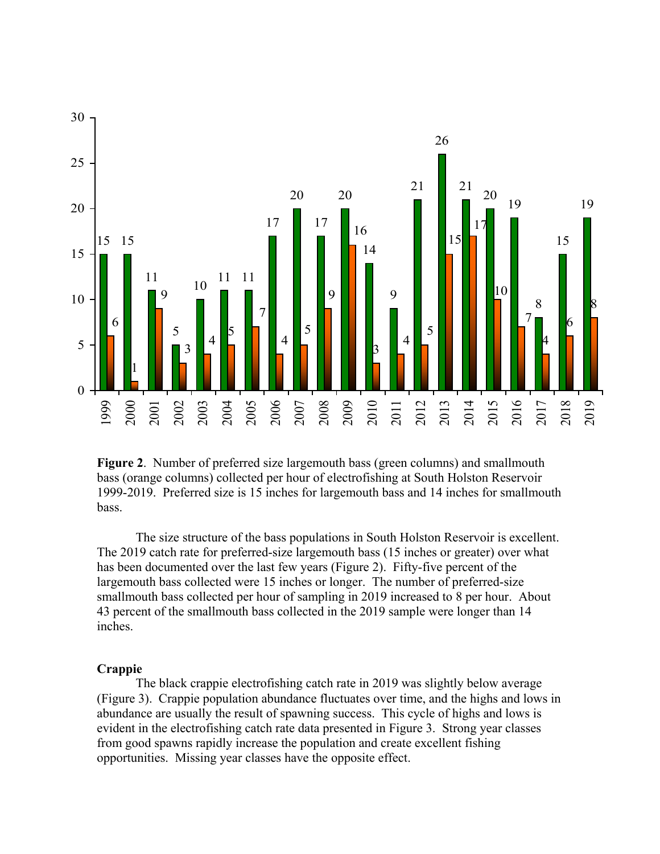

**Figure 2**. Number of preferred size largemouth bass (green columns) and smallmouth bass (orange columns) collected per hour of electrofishing at South Holston Reservoir 1999-2019. Preferred size is 15 inches for largemouth bass and 14 inches for smallmouth bass.

The size structure of the bass populations in South Holston Reservoir is excellent. The 2019 catch rate for preferred-size largemouth bass (15 inches or greater) over what has been documented over the last few years (Figure 2). Fifty-five percent of the largemouth bass collected were 15 inches or longer. The number of preferred-size smallmouth bass collected per hour of sampling in 2019 increased to 8 per hour. About percent of the smallmouth bass collected in the 2019 sample were longer than 14 inches.

#### **Crappie**

The black crappie electrofishing catch rate in 2019 was slightly below average (Figure 3). Crappie population abundance fluctuates over time, and the highs and lows in abundance are usually the result of spawning success. This cycle of highs and lows is evident in the electrofishing catch rate data presented in Figure 3. Strong year classes from good spawns rapidly increase the population and create excellent fishing opportunities. Missing year classes have the opposite effect.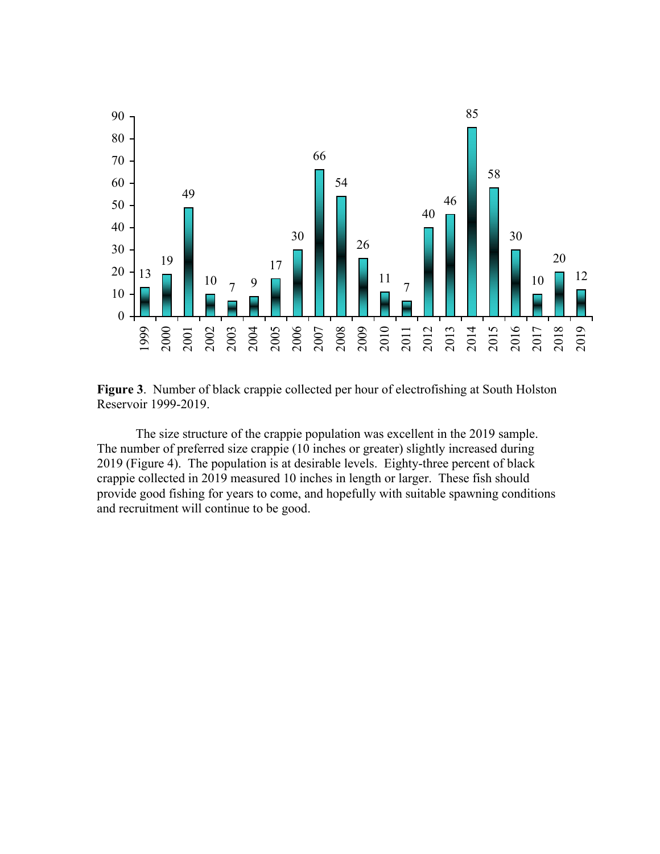

**Figure 3**. Number of black crappie collected per hour of electrofishing at South Holston Reservoir 1999-2019.

The size structure of the crappie population was excellent in the 2019 sample. The number of preferred size crappie (10 inches or greater) slightly increased during (Figure 4). The population is at desirable levels. Eighty-three percent of black crappie collected in 2019 measured 10 inches in length or larger. These fish should provide good fishing for years to come, and hopefully with suitable spawning conditions and recruitment will continue to be good.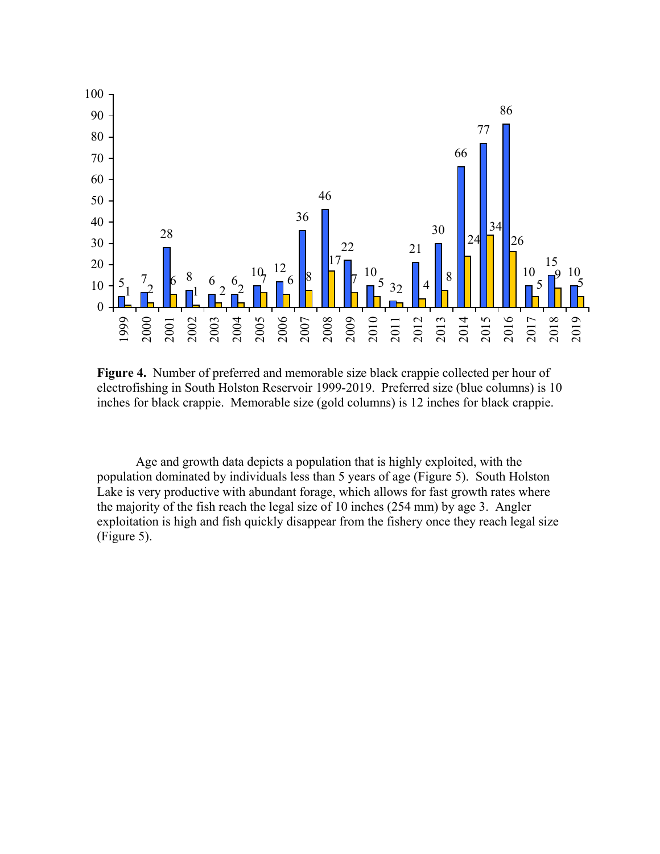

**Figure 4.** Number of preferred and memorable size black crappie collected per hour of electrofishing in South Holston Reservoir 1999-2019. Preferred size (blue columns) is 10 inches for black crappie. Memorable size (gold columns) is 12 inches for black crappie.

Age and growth data depicts a population that is highly exploited, with the population dominated by individuals less than 5 years of age (Figure 5). South Holston Lake is very productive with abundant forage, which allows for fast growth rates where the majority of the fish reach the legal size of 10 inches (254 mm) by age 3. Angler exploitation is high and fish quickly disappear from the fishery once they reach legal size (Figure 5).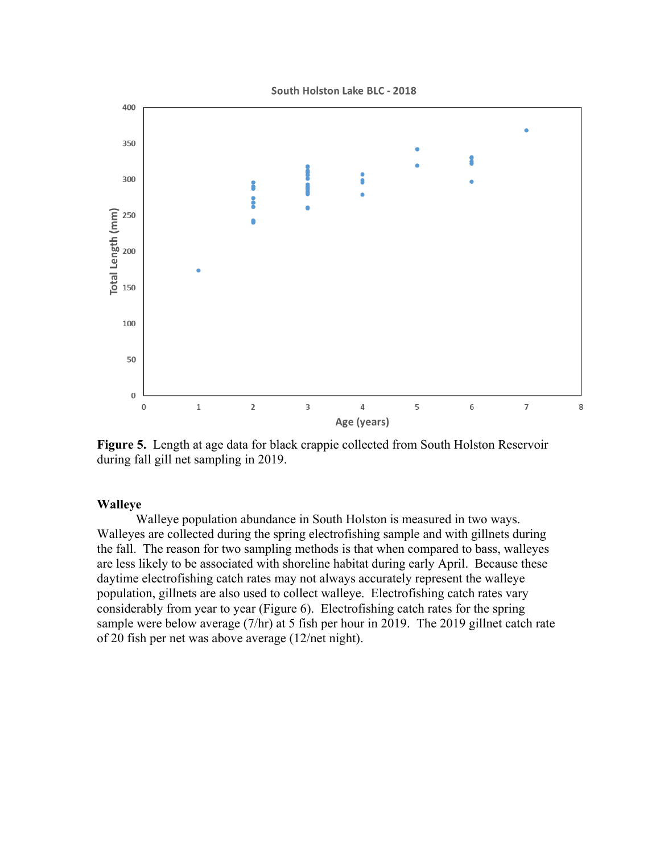South Holston Lake BLC - 2018



**Figure 5.** Length at age data for black crappie collected from South Holston Reservoir during fall gill net sampling in 2019.

### **Walleye**

Walleye population abundance in South Holston is measured in two ways. Walleyes are collected during the spring electrofishing sample and with gillnets during the fall. The reason for two sampling methods is that when compared to bass, walleyes are less likely to be associated with shoreline habitat during early April. Because these daytime electrofishing catch rates may not always accurately represent the walleye population, gillnets are also used to collect walleye. Electrofishing catch rates vary considerably from year to year (Figure 6). Electrofishing catch rates for the spring sample were below average (7/hr) at 5 fish per hour in 2019. The 2019 gillnet catch rate of 20 fish per net was above average (12/net night).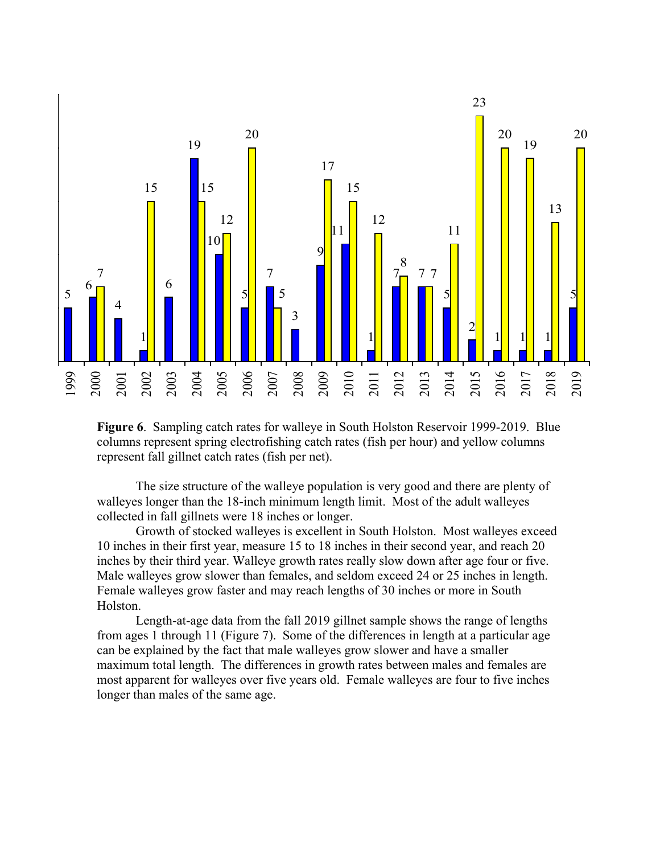

**Figure 6**. Sampling catch rates for walleye in South Holston Reservoir 1999-2019. Blue columns represent spring electrofishing catch rates (fish per hour) and yellow columns represent fall gillnet catch rates (fish per net).

The size structure of the walleye population is very good and there are plenty of walleyes longer than the 18-inch minimum length limit. Most of the adult walleyes collected in fall gillnets were 18 inches or longer.

Growth of stocked walleyes is excellent in South Holston. Most walleyes exceed 10 inches in their first year, measure 15 to 18 inches in their second year, and reach 20 inches by their third year. Walleye growth rates really slow down after age four or five. Male walleyes grow slower than females, and seldom exceed 24 or 25 inches in length. Female walleyes grow faster and may reach lengths of 30 inches or more in South Holston.

Length-at-age data from the fall 2019 gillnet sample shows the range of lengths from ages 1 through 11 (Figure 7). Some of the differences in length at a particular age can be explained by the fact that male walleyes grow slower and have a smaller maximum total length. The differences in growth rates between males and females are most apparent for walleyes over five years old. Female walleyes are four to five inches longer than males of the same age.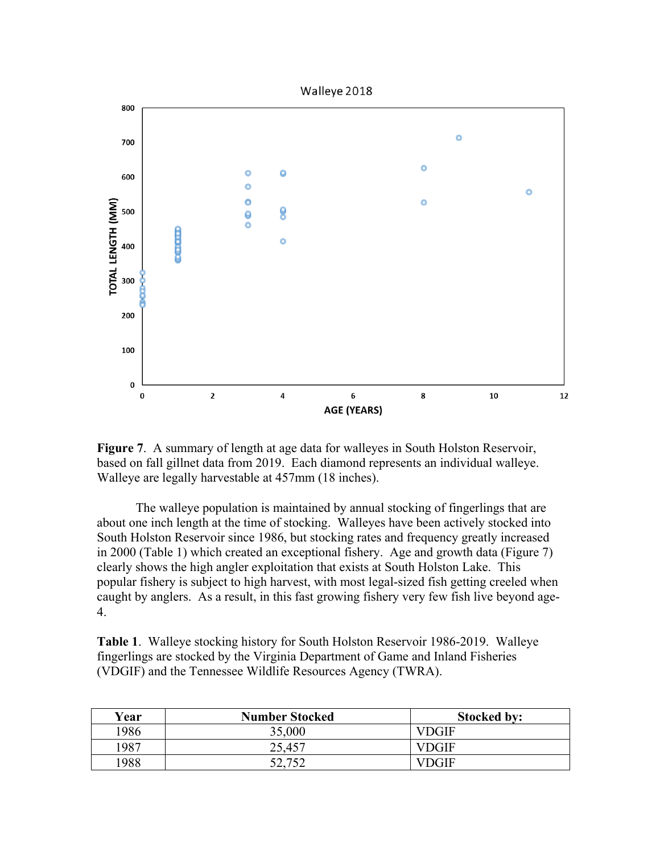

**Figure 7**. A summary of length at age data for walleyes in South Holston Reservoir, based on fall gillnet data from 2019. Each diamond represents an individual walleye. Walleye are legally harvestable at 457mm (18 inches).

The walleye population is maintained by annual stocking of fingerlings that are about one inch length at the time of stocking. Walleyes have been actively stocked into South Holston Reservoir since 1986, but stocking rates and frequency greatly increased in 2000 (Table 1) which created an exceptional fishery. Age and growth data (Figure 7) clearly shows the high angler exploitation that exists at South Holston Lake. This popular fishery is subject to high harvest, with most legal-sized fish getting creeled when caught by anglers. As a result, in this fast growing fishery very few fish live beyond age-4.

**Table 1**. Walleye stocking history for South Holston Reservoir 1986-2019. Walleye fingerlings are stocked by the Virginia Department of Game and Inland Fisheries (VDGIF) and the Tennessee Wildlife Resources Agency (TWRA).

| Year | <b>Number Stocked</b> | <b>Stocked by:</b> |
|------|-----------------------|--------------------|
| 1986 | 35,000                | VDGIF              |
| 1987 | 25,457                | VDGIF              |
| 1988 |                       | VDGIF              |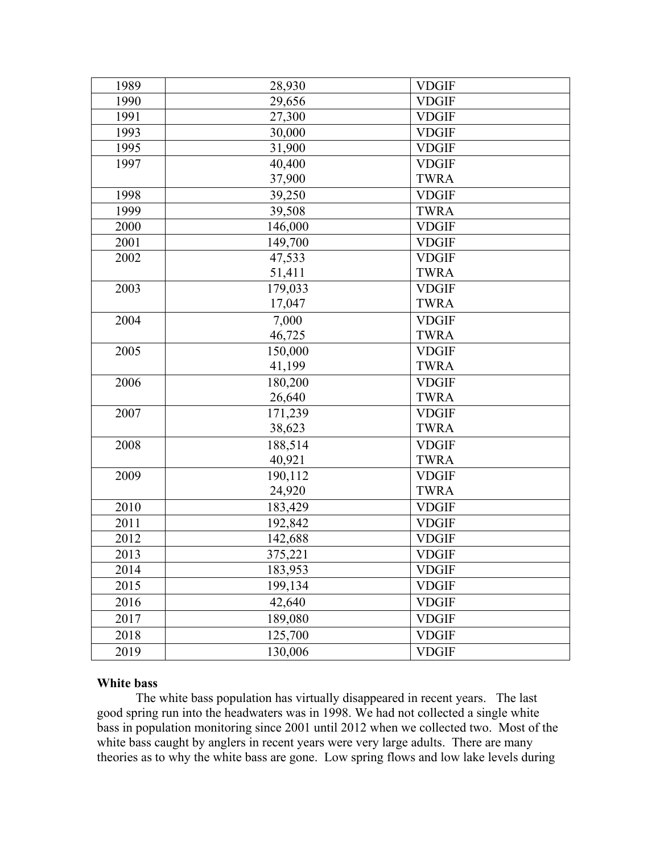| 1989 | 28,930  | <b>VDGIF</b> |
|------|---------|--------------|
| 1990 | 29,656  | <b>VDGIF</b> |
| 1991 | 27,300  | <b>VDGIF</b> |
| 1993 | 30,000  | <b>VDGIF</b> |
| 1995 | 31,900  | <b>VDGIF</b> |
| 1997 | 40,400  | <b>VDGIF</b> |
|      | 37,900  | <b>TWRA</b>  |
| 1998 | 39,250  | <b>VDGIF</b> |
| 1999 | 39,508  | <b>TWRA</b>  |
| 2000 | 146,000 | <b>VDGIF</b> |
| 2001 | 149,700 | <b>VDGIF</b> |
| 2002 | 47,533  | <b>VDGIF</b> |
|      | 51,411  | <b>TWRA</b>  |
| 2003 | 179,033 | <b>VDGIF</b> |
|      | 17,047  | <b>TWRA</b>  |
| 2004 | 7,000   | <b>VDGIF</b> |
|      | 46,725  | <b>TWRA</b>  |
| 2005 | 150,000 | <b>VDGIF</b> |
|      | 41,199  | <b>TWRA</b>  |
| 2006 | 180,200 | <b>VDGIF</b> |
|      | 26,640  | <b>TWRA</b>  |
| 2007 | 171,239 | <b>VDGIF</b> |
|      | 38,623  | <b>TWRA</b>  |
| 2008 | 188,514 | <b>VDGIF</b> |
|      | 40,921  | <b>TWRA</b>  |
| 2009 | 190,112 | <b>VDGIF</b> |
|      | 24,920  | <b>TWRA</b>  |
| 2010 | 183,429 | <b>VDGIF</b> |
| 2011 | 192,842 | <b>VDGIF</b> |
| 2012 | 142,688 | <b>VDGIF</b> |
| 2013 | 375,221 | <b>VDGIF</b> |
| 2014 | 183,953 | <b>VDGIF</b> |
| 2015 | 199,134 | <b>VDGIF</b> |
| 2016 | 42,640  | <b>VDGIF</b> |
| 2017 | 189,080 | <b>VDGIF</b> |
| 2018 | 125,700 | <b>VDGIF</b> |
| 2019 | 130,006 | <b>VDGIF</b> |

## **White bass**

The white bass population has virtually disappeared in recent years. The last good spring run into the headwaters was in 1998. We had not collected a single white bass in population monitoring since 2001 until 2012 when we collected two. Most of the white bass caught by anglers in recent years were very large adults. There are many theories as to why the white bass are gone. Low spring flows and low lake levels during